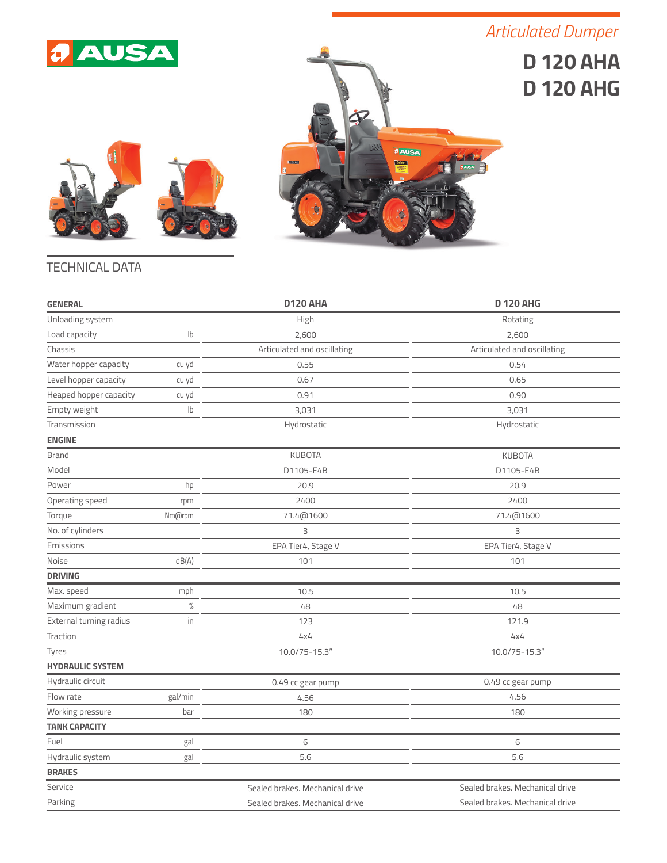## *Articulated Dumper*





## **D 120 AHA D 120 AHG**



| <b>GENERAL</b>          |               | <b>D120 AHA</b>                 | <b>D 120 AHG</b>                |
|-------------------------|---------------|---------------------------------|---------------------------------|
| Unloading system        |               | High                            | Rotating                        |
| Load capacity           | $\mathsf{lb}$ | 2,600                           | 2,600                           |
| Chassis                 |               | Articulated and oscillating     | Articulated and oscillating     |
| Water hopper capacity   | cu yd         | 0.55                            | 0.54                            |
| Level hopper capacity   | cu yd         | 0.67                            | 0.65                            |
| Heaped hopper capacity  | cu yd         | 0.91                            | 0.90                            |
| Empty weight            | $\mathsf{lb}$ | 3,031                           | 3,031                           |
| Transmission            |               | Hydrostatic                     | Hydrostatic                     |
| <b>ENGINE</b>           |               |                                 |                                 |
| <b>Brand</b>            |               | <b>KUBOTA</b>                   | <b>KUBOTA</b>                   |
| Model                   |               | D1105-E4B                       | D1105-E4B                       |
| Power                   | hp            | 20.9                            | 20.9                            |
| Operating speed         | rpm           | 2400                            | 2400                            |
| Torque                  | Nm@rpm        | 71.4@1600                       | 71.4@1600                       |
| No. of cylinders        |               | 3                               | 3                               |
| Emissions               |               | EPA Tier4, Stage V              | EPA Tier4, Stage V              |
| Noise                   | dB(A)         | 101                             | 101                             |
| <b>DRIVING</b>          |               |                                 |                                 |
| Max. speed              | mph           | 10.5                            | 10.5                            |
| Maximum gradient        | $\%$          | 48                              | 48                              |
| External turning radius | in            | 123                             | 121.9                           |
| Traction                |               | 4x4                             | 4x4                             |
| Tyres                   |               | 10.0/75-15.3"                   | 10.0/75-15.3"                   |
| <b>HYDRAULIC SYSTEM</b> |               |                                 |                                 |
| Hydraulic circuit       |               | 0.49 cc gear pump               | 0.49 cc gear pump               |
| Flow rate               | gal/min       | 4.56                            | 4.56                            |
| Working pressure        | bar           | 180                             | 180                             |
| <b>TANK CAPACITY</b>    |               |                                 |                                 |
| Fuel                    | gal           | 6                               | 6                               |
| Hydraulic system        | gal           | 5.6                             | 5.6                             |
| <b>BRAKES</b>           |               |                                 |                                 |
| Service                 |               | Sealed brakes. Mechanical drive | Sealed brakes. Mechanical drive |
| Parking                 |               | Sealed brakes. Mechanical drive | Sealed brakes. Mechanical drive |